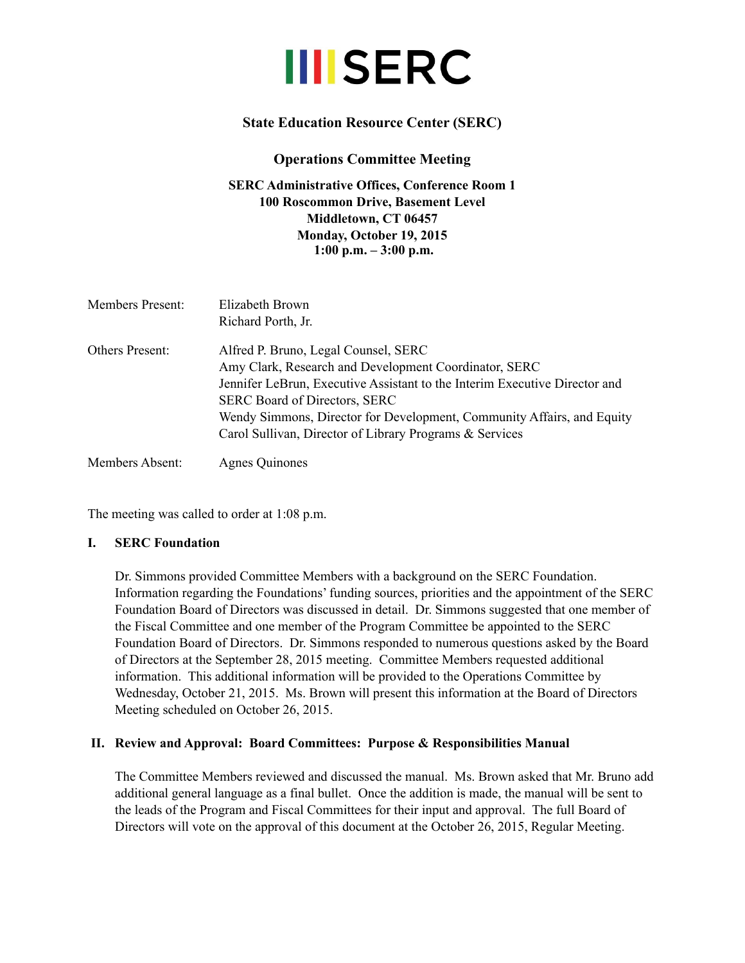# **III**SERC

## **State Education Resource Center (SERC)**

## **Operations Committee Meeting**

**SERC Administrative Offices, Conference Room 1 100 Roscommon Drive, Basement Level Middletown, CT 06457 Monday, October 19, 2015 1:00 p.m. – 3:00 p.m.**

| <b>Members Present:</b> | Elizabeth Brown<br>Richard Porth, Jr.                                                                                                                                                                                                                                                                                                                    |
|-------------------------|----------------------------------------------------------------------------------------------------------------------------------------------------------------------------------------------------------------------------------------------------------------------------------------------------------------------------------------------------------|
| Others Present:         | Alfred P. Bruno, Legal Counsel, SERC<br>Amy Clark, Research and Development Coordinator, SERC<br>Jennifer LeBrun, Executive Assistant to the Interim Executive Director and<br><b>SERC Board of Directors, SERC</b><br>Wendy Simmons, Director for Development, Community Affairs, and Equity<br>Carol Sullivan, Director of Library Programs & Services |
| Members Absent:         | Agnes Quinones                                                                                                                                                                                                                                                                                                                                           |

The meeting was called to order at 1:08 p.m.

#### **I. SERC Foundation**

Dr. Simmons provided Committee Members with a background on the SERC Foundation. Information regarding the Foundations' funding sources, priorities and the appointment of the SERC Foundation Board of Directors was discussed in detail. Dr. Simmons suggested that one member of the Fiscal Committee and one member of the Program Committee be appointed to the SERC Foundation Board of Directors. Dr. Simmons responded to numerous questions asked by the Board of Directors at the September 28, 2015 meeting. Committee Members requested additional information. This additional information will be provided to the Operations Committee by Wednesday, October 21, 2015. Ms. Brown will present this information at the Board of Directors Meeting scheduled on October 26, 2015.

#### **II. Review and Approval: Board Committees: Purpose & Responsibilities Manual**

The Committee Members reviewed and discussed the manual. Ms. Brown asked that Mr. Bruno add additional general language as a final bullet. Once the addition is made, the manual will be sent to the leads of the Program and Fiscal Committees for their input and approval. The full Board of Directors will vote on the approval of this document at the October 26, 2015, Regular Meeting.